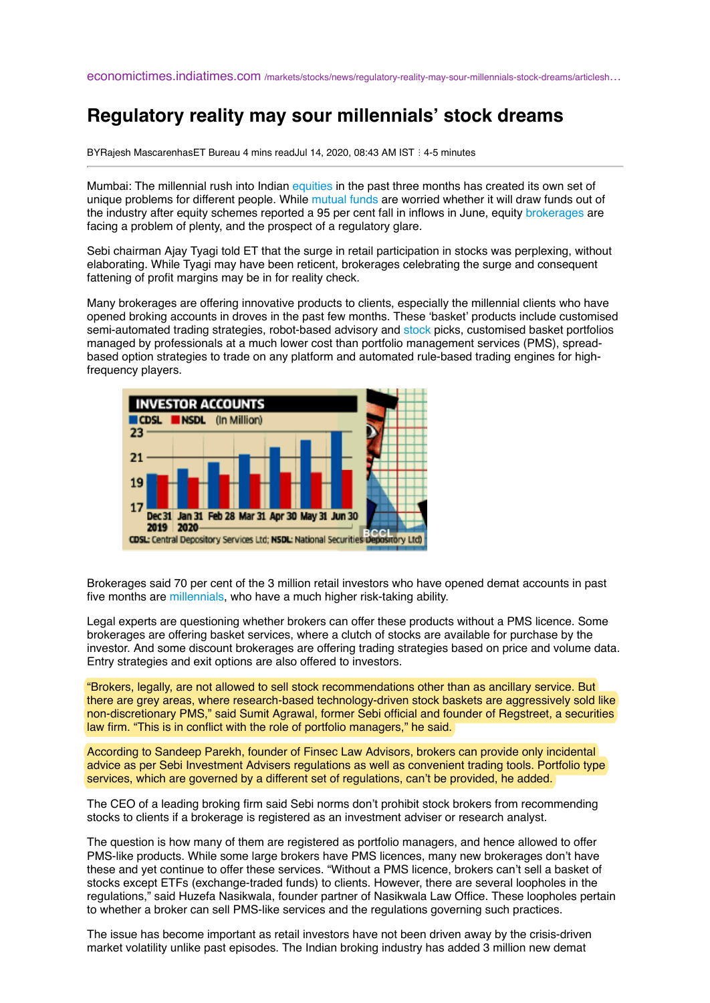## **Regulatory reality may sour millennials' stock dreams**

BYRajesh MascarenhasET Bureau 4 mins readJul 14, 2020, 08:43 AM IST : 4-5 minutes

Mumbai: The millennial rush into Indian [equities](https://economictimes.indiatimes.com/topic/equities) in the past three months has created its own set of unique problems for different people. While [mutual funds](https://economictimes.indiatimes.com/mutual-funds) are worried whether it will draw funds out of the industry after equity schemes reported a 95 per cent fall in inflows in June, equity [brokerages](https://economictimes.indiatimes.com/topic/brokerages) are facing a problem of plenty, and the prospect of a regulatory glare.

Sebi chairman Ajay Tyagi told ET that the surge in retail participation in stocks was perplexing, without elaborating. While Tyagi may have been reticent, brokerages celebrating the surge and consequent fattening of profit margins may be in for reality check.

Many brokerages are offering innovative products to clients, especially the millennial clients who have opened broking accounts in droves in the past few months. These 'basket' products include customised semi-automated trading strategies, robot-based advisory and [stock](https://economictimes.indiatimes.com/topic/stock) picks, customised basket portfolios managed by professionals at a much lower cost than portfolio management services (PMS), spreadbased option strategies to trade on any platform and automated rule-based trading engines for highfrequency players.



Brokerages said 70 per cent of the 3 million retail investors who have opened demat accounts in past five months are [millennials,](https://economictimes.indiatimes.com/topic/millennials) who have a much higher risk-taking ability.

Legal experts are questioning whether brokers can offer these products without a PMS licence. Some brokerages are offering basket services, where a clutch of stocks are available for purchase by the investor. And some discount brokerages are offering trading strategies based on price and volume data. Entry strategies and exit options are also offered to investors.

"Brokers, legally, are not allowed to sell stock recommendations other than as ancillary service. But there are grey areas, where research-based technology-driven stock baskets are aggressively sold like non-discretionary PMS," said Sumit Agrawal, former Sebi official and founder of Regstreet, a securities law firm. "This is in conflict with the role of portfolio managers," he said.

According to Sandeep Parekh, founder of Finsec Law Advisors, brokers can provide only incidental advice as per Sebi Investment Advisers regulations as well as convenient trading tools. Portfolio type services, which are governed by a different set of regulations, can't be provided, he added.

The CEO of a leading broking firm said Sebi norms don't prohibit stock brokers from recommending stocks to clients if a brokerage is registered as an investment adviser or research analyst.

The question is how many of them are registered as portfolio managers, and hence allowed to offer PMS-like products. While some large brokers have PMS licences, many new brokerages don't have these and yet continue to offer these services. "Without a PMS licence, brokers can't sell a basket of stocks except ETFs (exchange-traded funds) to clients. However, there are several loopholes in the regulations," said Huzefa Nasikwala, founder partner of Nasikwala Law Office. These loopholes pertain to whether a broker can sell PMS-like services and the regulations governing such practices.

The issue has become important as retail investors have not been driven away by the crisis-driven market volatility unlike past episodes. The Indian broking industry has added 3 million new demat